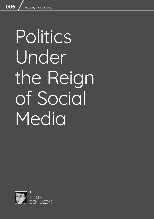# Politics Under the Reign of Social Media

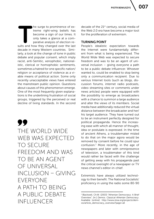**PIOTR BENIUSZYS** 

The surge to prominence of ex-<br>treme right-wing beliefs has<br>become a sign of our times. It<br>only takes a glance at a com-<br>parative analysis of election re-<br>sults and how they changed over the last treme right-wing beliefs has become a sign of our times. It only takes a glance at a comparative analysis of election redecade in many Western countries. Similarly, a look at the change of tone in public debate and popular consent, which imply racist, anti-Semitic, xenophobic, nationalistic, clerical or homophobic sentiments, sometimes a hatred for one specific nation/ religion or acceptance of violence as a viable means of political action. Some only recently unacceptable views have entered the mainstream public opinion. Questions about causes of this phenomenon emerge. One of the most frequently given explanations is the underlining frustration of social groups, triggered by the perceived or real decline of living standards. In the second

77 THE WORLD WIDE WEB WAS EXPECTED TO SECURE FREEDOM AND WAS TO BE AN AGENT OF UNIVERSAL INCLUSION – GIVING EVERYONE A PATH TO BEING A PUBLIC DEBATE INFLUENCER

decade of the 21<sup>st</sup> century, social media of the Web 2.0 era have become a major tool for the proliferation of extremism.

## TURNING POINT

People's idealistic expectation towards the Internet were fundamentally different from what is being experienced. The World Wide Web was expected to secure freedom and was to be an agent of universal inclusion – giving everyone a path to be a public debate influencer. Whoever wanted to, could be enabled to stop being only a communication recipient. Due to various Internet tools (such as blogs, discussion forums, internet radio podcasts, video streaming sites or comments under news articles) people were equipped with the possibility to emerge as broadcasters with a chance to summon a large audience and alter the views of its members. Social media have additionally reduced the virtual distance between the broadcaster and her/ his target audience. They have turned out to be an instrument perfectly designed for political propaganda. Hence the increasing ease with which all manner of thought, idea or postulate is expressed. In the time of ancient Athens, a troublemaker misled to do that on the major agora would be removed by consent before he could spur confusion.1 More recently, in the age of newspapers and later with omnipresence of television, a troublemaker of this kind would rather be faced with the challenge of getting away with his propaganda past the critical oversight of a newspaper or TV news channel's editor-in-chief.

Extremists have always utilized technology to their benefit. The National Socialists' proficiency in using the radio some 80-90

<sup>&</sup>lt;sup>1</sup> Blackwell, Ch.W. (2003) "Athenian Democracy: A Brief Overview", [in:] *Demos. Classical Athenian Democracy*. Available [online]: http://www.stoa.org/projects/demos/article\_democracy\_overview?page=all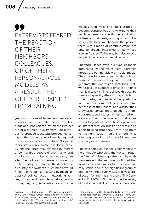99 EXTREMISTS FEARED THE REACTION OF THEIR NEIGHBORS, COLLEAGUES, OR OF THEIR PERSONAL ROLE MODELS. AS A RESULT, THEY OFTEN REFRAINED FROM TAI KING

years ago is almost legendary.<sup>2</sup> Yet radio, television, and even the news websites, blogs or discussion forums on the Internet are of a different quality from Social media. To produce successful propaganda using all the former types of media required the existence of infrastructure. No niche radio station, no amateurish local cable TV channel effectively watched by merely a few hundred people (if that many), and no blog with a similar audience reach, can alter the political processes in a democratic country. To influence the direction of a country, the owners of such media would need to have built a following by means of classical political action (networking, rallies, posters and pamphlets) before broadcasting anything. Meanwhile, social media

<sup>2</sup> Adena, M., R. Enikolopov, M. Petrova, V. Santarosa, and E. Zhuravskaya (2013) "Radio and the Rise of Nazis in Pre-War Germany", PSE Working Papers. Available [online]: https://www.princeton.edu/csdp/events/ Petrova04042013/Petrova04042013.pdf

enables even weak and small groups to become conspicuous and to expand their reach incrementally (with the application of likes and retweets, among others). It is specifically these mechanisms that provide them with a mode of communication not only to already interested or convinced viewers/readers/followers, but also to odd recipients, who are potential recruits.

Therefore, faced with old-type channels dominated by the mainstream, extremist groups are betting visibly on social media. They have become a substantial political power in this realm. They are now able to generate the impression that their realworld level of support is drastically higher than it actually is. They achieve this goal by means of quantity (their strong activity on social media, the number of their posts, the fact that their comments tend to outnumber those of their critics) and quality (their showcased conviction to be agents of obvious truths and aggressiveness paired with a strong drive to be "winners" of all arguments they partake in). Their popularity is an Internet creation, but it also seems to be a self-fulfilling prophecy. From one point to the next, social media is emerging as a turning point in the battle of liberal democracy vs. extremism.3

The psychological aspect is highly relevant here. People who view the world through the filter of right-wing extremism have always existed. Studies have confirmed that in Western democracies there is a numerically stable, and rather significant group of people who hold such views or have a predilection for internalizing them. (The Center for Right-Wing Studies at the University of California Berkeley offers an internation-

<sup>&</sup>lt;sup>3</sup> Montenegro, R. (2015) "Social Media Is Turning Us into Thoughtless Political Extremists", [in:] *Big Think*, July 13. Available [online]: http://bigthink.com/ideafeed/ social-media-is-turning-us-into-thoughtless-politicalextremists,.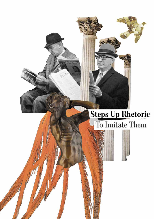## **Steps Up Rhetoric** To Imitate Them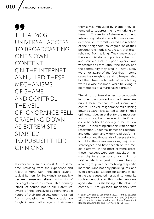99 THE ALMOST UNIVERSAL ACCESS TO BROADCASTING ONE'S OWN CONTENT ON THE INTERNET ANNULLED THESE MECHANISMS OF SHAME AND CONTROL. THE VEIL OF IGNORANCE FELL CRASHING DOWN AS EXTREMISTS STARTED TO PUBLISH THEIR OPINIONS

al overview of such studies). At the same time, resulting from the experience and fallout of World War II, the socio-psychological barriers for individuals to publicly declare themselves believers in this kind of ideology became insurmountable for many (albeit, of course, not to all). Extremists, aware of the perceived-as-reprehensible nature of their prejudices, often refrained from showcasing them. They occasionally fought internal battles against their views

themselves. Motivated by shame, they attempted to suppress their own lurking extremism. This feeling of shame led some to astonishing behavior – voting mainstream democratic. Extremists feared the reaction of their neighbors, colleagues, or of their personal role models. As a result, they often refrained from talking. They knew about the low social status of political extremism and believed that this poor opinion was widespread all throughout the society and the community they lived in. They usually were not aware of the fact that in some cases their neighbors and colleagues also hid their true sentiments of which they were likewise ashamed, while believing to be members of a marginalized group.<sup>4</sup>

The almost universal access to broadcasting one's own content on the Internet annulled these mechanisms of shame and control. The veil of ignorance fell crashing down as extremists started to publish their opinions. It began at first for the most part anonymously, but then – which in Poland could be noticed especially in the last few years – in increasing numbers with no such reservation, under real names on Facebook and other open and widely read platforms. Hundreds and thousands of people started to publish their ideas, emotions, prejudices, stereotypes, and hate speech on this media platform. In the most extreme cases, these messages were open attacks on human dignity, expressions of joy in light of fatal accidents occurring to members of a hated group, internet mobbing of specific individuals and not only public figures, and even expressed support for actions which in the past caused crimes against humanity such as genocide. All this content encouraged extremists still hiding in the closet to come out. Through social media they have

<sup>4</sup> Falter, J.W. and S. Schumann (2013) "Affinity towards Right-wing Extremism in Western Europe", [in:] Rightwing Extremism in Western Europe, K. von Beyme (ed.), Routledge: Abingdon and New York, pp. 96-110.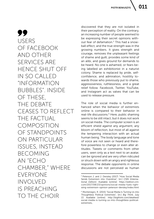99 USERS OF FACEBOOK AND OTHER SERVICES ARE HENCE SHUT OFF IN SO CALLED "INFORMATION BUBBLES". INSIDE OF THESE, THE DEBATE CEASES TO REFLECT THE FACTUAL COMPOSITION OF STANDPOINTS ON PARTICUI AR ISSUES, INSTEAD BECOMING AN "ECHO CHAMBER," WHERE EVERYONE INVOLVED IS PREACHING TO THE CHOIR

discovered that they are not isolated in their perception of reality. On the contrary, an increasing number of people seemed to be expressing their secret opinions without fear of defamation.<sup>5</sup> This had a snowball effect, and the true strength was in the growing numbers. It gives strength and courage, removes the unpleasant feelings of shame and guilt, provides some kind of an alibi, and gives ground for demands to be heard. No one is ashamed, or fears being labelled an exhibitionist in a naturist colony. Shame is replaced by pride, selfconfidence, and admiration, hostility towards those who previously put to shame, aggressiveness, ruthlessness, and a great relief follow. Facebook, Twitter, YouTube, and Instagram act as valves that can be used to release pressure.

The role of social media is further enhanced when the behavior of extremists online is compared to their behavior in real-life discussions.<sup>6</sup> Here, public shaming seems to be still intact, but it does not work on social media. The computer screen is an efficient shield against any argument, any bloom of reflection, but most of all against the tempering interaction with an actual human being. The body language and tone of voice are not seen or heard and therefore powerless to change or even alter attitudes. Tweets or comments from other users, seen only as a text next to an avatar, can be ignored and are very often ridiculed or struck down with an angry and righteous response. The debate opponents in online discussions are not perceived as human

<sup>5</sup> Peterson J. and J. Densley (2017) "How Social Media Sends Extremism into Overdrive", [in:] *CNN (International Edition)*. Available [online]: https://edition.cnn. com/2017/08/23/opinions/social-media-fuels-rightwing-extremism-opinion-peterson-densley/index.html

<sup>6</sup> Montenegro, R. (2015) "Social Media Is Turning Us into Thoughtless Political Extremists", [in:] *Big Think*, July 13. Available [online]: http://bigthink.com/ideafeed/ social-media-is-turning-us-into-thoughtless-politicalextremists,.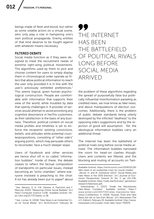beings made of flesh and blood, but rather as some volatile actors on a virtual scene, who only play a role in hampering one's own political propaganda. Enemy entities of that kind deserve to be fought against with whatever means necessary.

## FILTERED DEBATE

Social media function as if they were designed to meet the recruitment needs of extreme right-wing political movements. The algorithms used by them to pick and choose content for users to simply display them in chronological order operate as filters that allow political information to reach the user only provided it is in line with the user's previously exhibited preferences.<sup>7</sup> This seems logical, given human psychological construction. People are comfortable with information that supports their view of the world, while troubled by data that openly challenges it. A provider of services would attempt to avoid provoking any cognitive dissonance in her/his customers, as their satisfaction is the basis of any business. Therefore, political content on social media profiles and timelines is set to enforce the recipients' existing convictions, beliefs, and attitudes while potential counterpropositions, consisting of "other side's" arguing points, which may persuade others to reconsider, face a much steeper slope.

Users of Facebook and other services are hence shut off in so called "information bubbles". Inside of these, the debate ceases to reflect the factual composition of standpoints on particular issues, instead becoming an "echo chamber," where everyone involved is preaching to the choir. A lot has already been put to paper $8$  about

## 99 THE INTERNET HAS BEEN THE BATTLEFIELD OF POLITICAL RIVALS LONG BEFORE SOCIAL MEDIA ARRIVED

the problem of these algorithms regarding the spread of purposefully false but politically influential misinformation parading as credited news, we now know as fake news, and about manipulations of election outcomes. Additionally, there is the problem of public debate standards being utterly destroyed by the inflicted "deafness" to the opposing side's suggestions and by the rejection of good will assumption. Yet, the ideological information bubbles carry an additional threat.

The Internet has been the battlefield of political rivals long before social media arrived. The information bubbles narrowed the room for head-on clashes though. Users and contents are filtered, and the blocking and muting of accounts on Twit-

<sup>7</sup> See: Nikolov, D, D. F.M. Oliveira, A. Flammini and F. Menczer (2015) "Measuring Online Social Bubbles" [in:] *PeerJ Computer Science* 1:e38.. Available [online}: https://doi.org/10.7717/peerj-cs.38

<sup>8</sup> See: Lomas, N. (2018) "Fake News Is an Existential Crisis for Social Media", [in:] *TechChrunch*, February 18.

Available [online]: https://techcrunch.com/2018/02/18/ fake-news-is-an-existential-crisis-for-social-media/;

Allcott, H. and M. Gentzkow (2017) "Social Media and Fake News in the 2016 Election", [in:] *Journal of Economic Perspectives*, Volume 31, No. 2, pp. 211-236. Available [online]: https://web.stanford.edu/~gentzkow/ research/fakenews.pdf;

Subramanian, S. (2017) "Inside the Macedonian Fake-News Complex". Available [online]: https:// www.wired.com/2017/02/veles-macedonia-fakenews/;Cuthbertson, A. (2018) "Russian Trolls and Fake News Are Set to Get Even Worse", [in:] *Newsweek (The U.S. Edition)*, February 19. Available [online]: http://www. newsweek.com/russian-trolls-fake-news-790976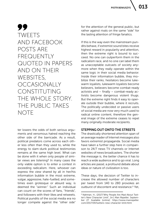013

99 TWEETS AND FACEBOOK POSTS ARE FREQUENTLY QUOTED IN PAPERS AND ON THEIR WEBSITES, OCCASIONALLY CONSTITUTING THE WHOLE STORY. THE PUBLIC TAKES **NOTE** 

ter lowers the odds of both serious arguments and venomous hatred reaching the other side of the barricade. As a result, political predators come across each other less often than they used to, while the energy to slam-dunk political testimonies remains at the same high level. What can be done with it when only people of similar views are listening? In many cases the only viable option is to enter a contest in exceeding radicalism. Here, whoever can express the view shared by all in her/his information bubble in the most extreme, vulgar, aggressive, hate-fuelled, and sometimes even grotesque or absurd way, is deemed the "winner." Such an individual can count on the scores of fans, "friends" and followers with their likes and retweets. Political pundits of the social media era no longer compete against the "other side" for the attention of the general public, but rather against rivals on the same "side" for the lasting attention of fringe fanatics.

If this is the way even the mainstream pundits behave, if extremist sound bites receive highest reward in popularity and attention, then the extreme right is bound to succeed. No one can outperform them in the radicalism race, and no one can label them as unacceptable outcasts of society anymore when they really operate within the same logic in their social media behavior. Inside their information bubble, they mobilize their ranks; hesitators become lukewarm loyalists, lukewarm loyalists become believers, believers become combat-ready activists and – finally – combat-ready activists become dangerous violent thugs. But the extreme right finds it easy to operate outside their bubble, where it recruits. The politically undecided or passive users of social media are now very much used to radical online content, therefore the general image of the extreme ceases to repel many originally moderate recipients.

## STEPPING OUT ONTO THE STREETS

The drastically shortened attention span of an average reader of Internet messages also favors extremist propaganda. Social media have taken a further step here in comparison to 24/7 news TV channels or Internet websites of news broadcasters. The shorter the message is, the better chance it has to reach a wide audience and to go viral. Long articles are passé; a profound debate about ideas or nature of civilization is too.

These days, the decision of Twitter to increase the allowed number of characters per tweet from 140 to 280 provokes an outburst of discontent and resistance.<sup>9</sup> Yet,

<sup>9</sup> Nahman, H., (2017)"Why People Are Mad About Twitter's New Character Limit", [in:] *Man Repeller*, September 27. Available [online]: https://www.manrepeller. com/2017/09/twitters-new-character-limit.html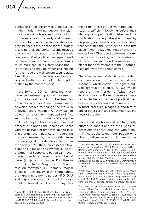concision is not the only relevant aspect. In the modern online debate, the clarity of using only black and white colours to present a point is equally vital. There is no space for nuance, balance or shades of gray, neither is there space for thoroughly analyzing pros and cons. It seems obvious that creation of such one-dimensional, overly simplified political messages, based on emotion rather than reflection, comes much more natural to extremist and populist forces, and may be rather challenging for the moderate mainstream technocrats. Simplification of message synchronizes very well with the speed of content proliferation by the modern media.

In the 19<sup>th</sup> and 20<sup>th</sup> centuries, many experienced extremist political movements (most notably – Jacobinism, Fascism, National Socialism or Communism), many of which desired to change the world in a revolutionary manner. As they gained power, some of them managed to inflict serious harm by profoundly altering the reality of people's lives, before the natural process of blunting the ideological spear with the passage of time was able to take place under the influence of moderating pressures exerted by the majorities from the ideologically moderate center within the society.10 Yet, these processes did take place and in the age of slow media, the recruitment of supporters by radical movements often lasted years. In a number of cases (Poujadism in France, Populism in the United States, Morgen Glistrup's antitaxation movement in Denmark, radical political Protestantism in the Netherlands, the right-wing extreme parties NPD, DVU and Republicans or the populist movement of Ronald Schill in Germany) this

meant that these groups were not able to reach a sufficient following before their ideological impetus extinguished and the moderating society absorbed them by proposing solutions to conflicts or crises that generated their emergence in the first place.11 With today's technology this is no longer likely. The speed of extremist communication spreading, and radicalization of these movements will now always be higher than any attempts at their "domestication" by the moderate centre.<sup>12</sup>

The effectiveness of this type of modern communication is enhanced by old-type channels, which enable it to agitate outside information bubbles. All U.S. media report on the President's Twitter activity extensively. In Poland, the more spectacular Twitter exchanges of political foes, both active politicians and journalists, who in most cases are pledged supporters of one or other party, are sometimes headline news of the day.

Tweets and Facebook posts are frequently quoted in papers and on their websites, occasionally constituting the whole story.<sup>13</sup> The public takes note. People who hitherto disregarded social media as

<sup>10</sup> Coy, P. G. (2013) "Co-Optation", [in:] *The Wiley-Blackwell Encyclopedia of Social and Political Movements*. Available [online]: http://onlinelibrary.wiley.com/ doi/10.1002/9780470674871.wbespm054/full. (accessed on February 25, 2018)

<sup>11</sup> See: Bouclier, Th. (2006) *Les Années Poujade : une histoire du poujadisme (1953-1958)*. Paris : Éditions Remi Perrin;Rochester, A. (1943) *The Populist Movement in the United States*. New York: International Publishers.Hartleb, F. (2004 "Auf– und Abstieg der Hamburger Schill-Partei". [in:] *Das Deutsche Parteiensystem. Perspektiven für das 21. Jahrhundert*, H. Zehetmair (ed.), Wiesbaden: VS Verlag für Sozialwissenschaften:, pp. 213–227.

<sup>&</sup>lt;sup>12</sup> Peterson J. and J. Densley (2017) "How Social Media Sends Extremism into Overdrive", [in:] *CNN (International Edition)*. Available [online]: https://edition.cnn. com/2017/08/23/opinions/social-media-fuels-rightwing-extremism-opinion-peterson-densley/index.html

<sup>13</sup> Broersma M. and T. Graham (2013) "Twitter as a News Source: How Dutch and British Newspapers Used Tweets in Their News Coverage, 2007–2011", [in:] *Journalism Practice*, Volume 7, Issue 4 "Journalists and Sources", pp. 446-464. Available [online]: http://www. tandfonline.com/doi/abs/10.1080/17512786.2013.8024 81?src=recsys&journalCode=rjop20.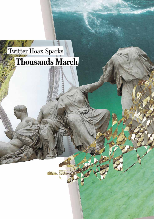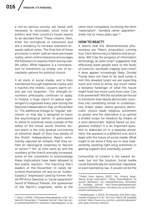a not-so-serious activity are faced with necessity to reconsider, since most of politics and their country's future seems to be decided there. These citizens, then, enter the stronghold of extremists and see a tendency to increase tolerance towards radical views. The final link of these processes is when radical views permeate reality, when online tolerance encourages the followers to express them during reallife rallies. What happens is a normalization of extremism as simply one of acceptable options for political choice.

It all starts in social media, and is then transferred through traditional media until it reaches the streets. Lessons learnt online are not forgotten. The strength-innumbers philosophy continues to apply. In Poland, a huge march of radical rightwingers is organized every year during the National Independence Day on November 11. The additional linkage to "regular" patriotism on that day is designed to lower the psychological barrier of participants to admit to extremist views outside of the safety of the virtual world. Another lesson learnt is the only gradual uncovering of extremist depth of their true beliefs of the Polish Independence March vehemently rejected all remarks that they exhibit an ideological closeness to fascism or racism.<sup>14</sup> Yet, as time went by and the numbers at the march annually increased, some of the comments to acknowledge these implications have been allowed to test public reaction. The marching folk's leaders of the November 11 rallies described themselves off and on as "Judeo-Sceptics" (expression used by former Polish MP Artur Zawisza) or "racial separatists" (word of Mateusz Plawski, the spokesman of the March's organizer), while at the same time completely rectifying the term "nationalism", handled rather apprehensively not so many years ago.<sup>15</sup>

### HOW TO REACT?

It seems that the aforementioned phenomena are Plato's proposition coming true. Each democracy is fated to end as tyranny. Will it be the progress of information technology, as John Gray<sup>16</sup> suggested, that effectively leads people back to the faults of coercion, servitude, tragedy, and crime? It does appear increasingly likely. Donald Trump does not have to be (and surely is not) this dreaded tyrant we are expecting more and more to arrive, but much rather a tentative harbinger of what the future might hold two more turns from now. Can it be prevented? Will the societies be forced to transform their liberal democratic countries into something similar to contemporary Arabic states, where genuine democratic choice leads religious extremism to power, and the alternative is to uphold a limited scope for freedom by means of a semi-democratic regime based on progressive military? It is an important question to elaborate on in a separate article. Here, the question is a different one, and it deals with the future of social media. What ought to be done if they are to stop inadvertently assisting right-wing extremists in gaining support and, eventually, power?

Censorship of content is the easiest answer, but not the solution. Social media could theoretically be restricted, regulated, or even banned by law. It would not be the

<sup>14</sup> Żaryn J. (2010) "Z Marszem Niepodległości w tle", [in:] *Salon24*, November 2. Available [online]: http://jan.zaryn.salon24.pl/245574,z-marszem-niepodleglosci-w-tle

<sup>&</sup>lt;sup>15</sup> Polish Press Agency (2017) "'My chcemy Boga', 'Naszą drogą nacjonalizm'. Marsz Niepodległości na ulicach Warszawy", [in:] *GazetaPrawna.pl*, November 11. Available [online]: http://www.gazetaprawna.pl/ artykuly/1084338,marsz-narodowcow-przechodziulicami-warszawy.html

<sup>16</sup> Niederhauser, J. (2013) "An Interview with John Gray: 'Human Progress Is a Lie'", [in:] Vice, March 28. Available [online]: https://www.vice.com/en\_us/article/qbwqem/ john-gray-interview-atheism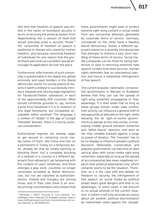first time that freedom of speech was limited in the name of homeland security in terms of securing the political system from degenerating into a version of itself that would precisely pose a security threat.<sup>17</sup> Yet, censorship of freedom of speech is anathema to liberals who stand for human freedom, also because censoring freedom of individuals for one reason that the government perceives as a problem would encourage its application all over the place.

Furthermore, effectiveness of such censorship is questionable in the digital era, global economy and open borders in the liberal democratic world. For purely practical reasons it seems unlikely to successfully introduce separate and varying legal regulations for Facebook/Twitter operations in each of the approximately 200 countries. What should constitute grounds to, say, remove a post from Facebook if it is in violation of one legal framework, but completely acceptable within another? The language it is written in? Really? In the age of Google Translate? Besides, there is a strictly political consideration.

Authoritarian regimes are already eager to get around to censoring social media (some of them, like China and Iran on a permanent or Turkey on a temporary basis, already do that by simply banning or blocking them, but a complete blocking of a website in a country is a different approach from allowing it, yet tampering with the content of users' timelines). And there emerges a gray zone: countries no longer universally accepted as liberal democracies, but not yet classified as authoritarianisms. Poland and Hungary are among those, and in their case there is an anxiety among commentators and citizens that these governments might seek to protect extreme right-wing content in social media from any censorship attempts generated by corporate terms of service. Germany, considered on the other hand a flawless liberal democracy, shows a different approach based on a recently introduced law that attempts to enforce a very strict handling of these terms of service. Social media companies can be fined for being ineffective or slow in removing extremist hate speech content from their services. Human rights defenders fear an overzealous reaction and hence a substantial infringement of free speech.

The current populist, nationalist, conservative governments in Warsaw or Budapest believe that they can use the spread of right-wing extremist propaganda to their advantage. It is their belief that as long as these groups remain under state control, their activity can influence a general shift of average political attitudes to the right, while allowing the far right-of-centre governments to parade as the new centre, a moderating middle ground between extremist and "leftist liberal" opinions, and even as the only credible bulwark against a surge to power of fanatics. The "monster" has to be on display to influence people's political decisions. Nationalist, conservative, and populist governments can become at least tactical allies with social media right-wing extremism, especially as long as the spread of accompanying fake news negatively impacts their political adversaries only, which certainly seems to be the situation. Therefore, as it is the case with any debate on freedom vs. security, the infringement of free speech on social media by political power bears great dangers and little to no advantages. In some cases, it will amount to no actual amends of the current situation, in others it will only provoke an outcry about yet another political discrimination by mainstream elites against the "people"

<sup>&</sup>lt;sup>17</sup> Mockaitis, T (2017) "Security vs. Civil Liberties", [in:] *Huffington Post*, February 19. Available [online]: https:// www.huffingtonpost.com/tom-mockaitis/security-vscivil-liberties\_b\_9273478.html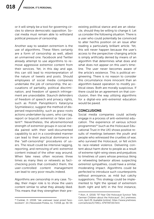or it will simply be a tool for governing circles to silence democratic opposition. Social media must remain able to withstand political pressure of censorship.

Another way to weaken extremism is the use of algorithms. These filters certainly are a form of censorship as well, albeit an unmanned one. Facebook and Twitter already attempt to use algorithms to remove aggressive extremist content from their services. Yet, in this day and age, this can still lead to misinterpretation of the nature of tweets and posts. Should employees of social media companies undertake the job of censorship, the accusations of partiality, political discrimination, and freedom of speech infringement are unavoidable. Staunch defenders of freedom of speech and privacy rights, such as Polish Panoptikon's Katarzyna Szymielewicz, suggest the method of dispersed responsibility, such as grass-roots actions undertaken by users, who can tag, report or boycott extremist or false content<sup>18</sup>. Nevertheless, the aforementioned strength of extremist groups in social media paired with their well-documented capability to act in a coordinated manner can lead to their practical dominance in the "self-censorship" procedures of users. The result could be intensive tagging, reporting, and removing of anti-extremist content instead of the other way around. When fake news often receives three times as many likes or retweets as factchecking posts that contradict them, the user-controlled content management can lead to very poor results indeed.

Algorithms are censorship in any case. Today, their major role is to show the users content similar to what they already liked. This means that they strengthen their pre-

<sup>18</sup> Ćwiklak, D. (2018) "Jak uratować świat przed Facebookiem", [in:] Newsweek Polska, no. 7/2018, pp .56-59. existing political stance and are an obstacle, should they be willing to change it. Let us consider the following situation. There is a user who could potentially be convinced to alter her/his position on an issue after reading a particularly brilliant article. Yet, this will never happen because the user's access to the perspective-changing article is simply artificially denied by means of an algorithm that determines what does and what does not appear on this user's timeline. The user never becomes aware of the article's existence. This is political engineering. There is no reason to consider this circumstance more innocent than an algorithm-based operation to modify political views. Both are morally suspicious. If there could be an agreement on that conclusion, then the way utilizing algorithms for a digital-era anti-extremist education would be paved.

### **CONCLUSIONS**

Social media companies could actively engage in a process of anti-extremist education. The experience of various school programmes<sup>19</sup> (such as the Holocaust Educational Trust in the UK) shows positive results of meetings between the youth and people who witnessed the cruelties of war, who survived the Holocaust, or fell victim to race-related violence. Delivering content about harm done to people as a result of extreme right-wing views and prejudices to timelines of users whose previous liking or retweeting behavior allows suspecting extremist sympathies, could have a similar, moderating impact. Algorithms could be perfected to introduce such counterpoints without annoyance, as mild but catchy suggestions. This strategy could be implemented to fight the spread of extremism (both right and left) in the first instance,

<sup>19</sup> Alon, A. (2016) "97-Year-Old Holocaust Survivor Tells German Children about the Holocaust", [in:] ynetnews. com, April 29. Available [online]: https://www.ynetnews. com/articles/0,7340,L-4797397,00.html